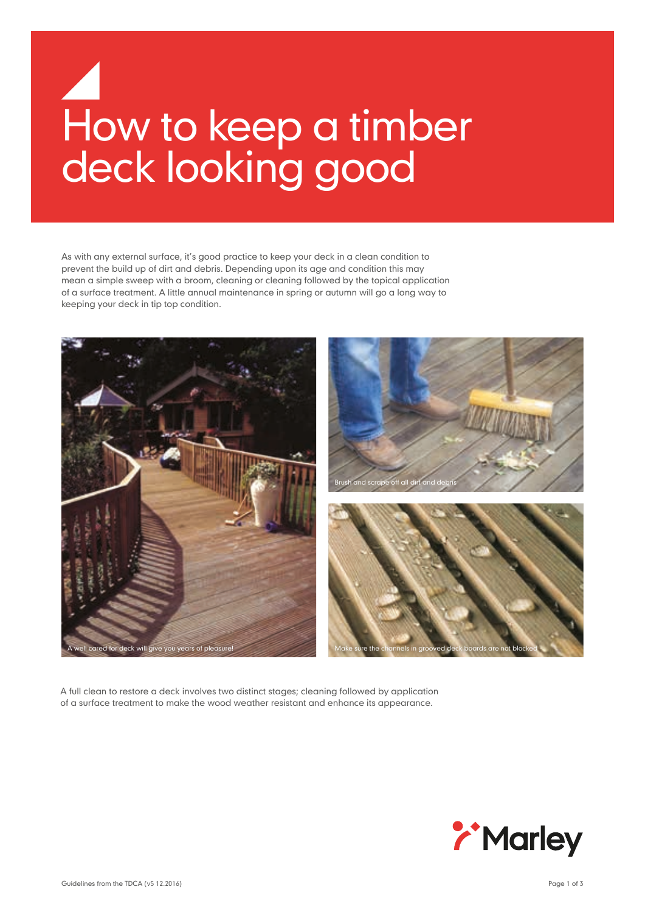# How to keep a timber deck looking good

As with any external surface, it's good practice to keep your deck in a clean condition to prevent the build up of dirt and debris. Depending upon its age and condition this may mean a simple sweep with a broom, cleaning or cleaning followed by the topical application of a surface treatment. A little annual maintenance in spring or autumn will go a long way to keeping your deck in tip top condition.



A full clean to restore a deck involves two distinct stages; cleaning followed by application of a surface treatment to make the wood weather resistant and enhance its appearance.

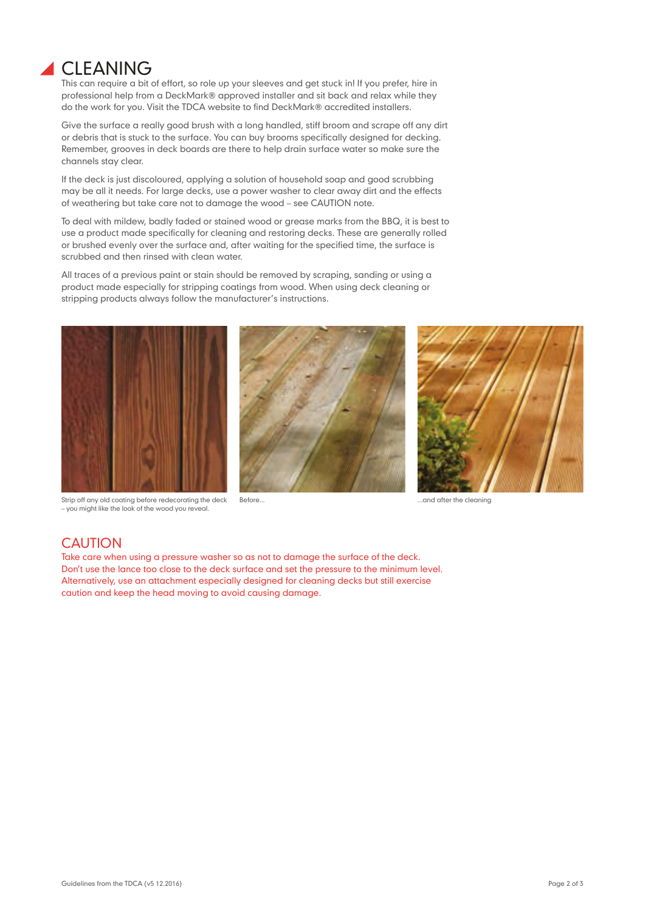

This can require a bit of effort, so role up your sleeves and get stuck in! If you prefer, hire in professional help from a DeckMark® approved installer and sit back and relax while they do the work for you. Visit the TDCA website to find DeckMark® accredited installers.

Give the surface a really good brush with a long handled, stiff broom and scrape off any dirt or debris that is stuck to the surface. You can buy brooms specifically designed for decking. Remember, grooves in deck boards are there to help drain surface water so make sure the channels stay clear.

If the deck is just discoloured, applying a solution of household soap and good scrubbing may be all it needs. For large decks, use a power washer to clear away dirt and the effects of weathering but take care not to damage the wood – see CAUTION note.

To deal with mildew, badly faded or stained wood or grease marks from the BBQ, it is best to use a product made specifically for cleaning and restoring decks. These are generally rolled or brushed evenly over the surface and, after waiting for the specified time, the surface is scrubbed and then rinsed with clean water.

All traces of a previous paint or stain should be removed by scraping, sanding or using a product made especially for stripping coatings from wood. When using deck cleaning or stripping products always follow the manufacturer's instructions.



Strip off any old coating before redecorating the deck – you might like the look of the wood you reveal.





Before... **Before... Before... Before... Before... Before... BEFORE 2018** 

## **CAUTION**

Take care when using a pressure washer so as not to damage the surface of the deck. Don't use the lance too close to the deck surface and set the pressure to the minimum level. Alternatively, use an attachment especially designed for cleaning decks but still exercise caution and keep the head moving to avoid causing damage.